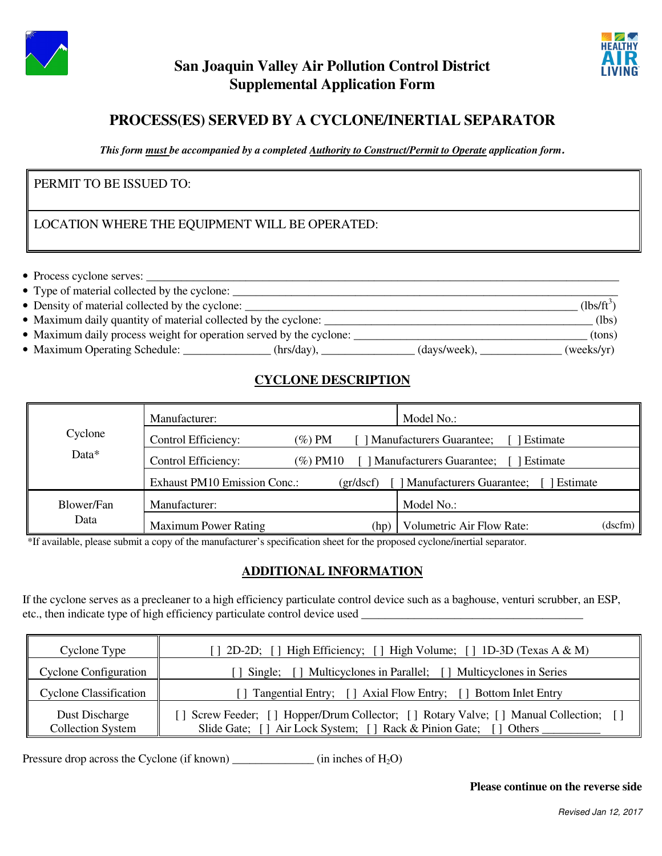



# **San Joaquin Valley Air Pollution Control District Supplemental Application Form**

# **PROCESS(ES) SERVED BY A CYCLONE/INERTIAL SEPARATOR**

*This form must be accompanied by a completed Authority to Construct/Permit to Operate application form***.** 

### PERMIT TO BE ISSUED TO:

#### LOCATION WHERE THE EQUIPMENT WILL BE OPERATED:

• Process cyclone serves: \_\_\_\_\_\_\_\_\_\_\_\_\_\_\_\_\_\_\_\_\_\_\_\_\_\_\_\_\_\_\_\_\_\_\_\_\_\_\_\_\_\_\_\_\_\_\_\_\_\_\_\_\_\_\_\_\_\_\_\_\_\_\_\_\_\_\_\_\_\_\_\_\_\_\_\_\_\_\_\_\_

| • Type of material collected by the cyclone: |  |
|----------------------------------------------|--|
|----------------------------------------------|--|

| • Density of material collected by the cyclone: | (1bs/ft |
|-------------------------------------------------|---------|
|                                                 |         |

- Maximum daily quantity of material collected by the cyclone: \_\_\_\_\_\_\_\_\_\_\_\_\_\_\_\_\_\_\_\_\_\_\_\_\_\_\_\_\_\_\_\_\_\_\_\_\_\_\_\_\_\_\_\_\_\_ (lbs)
- Maximum daily process weight for operation served by the cyclone: \_\_\_\_\_\_\_\_\_\_\_\_\_\_\_\_\_\_\_\_\_\_\_\_\_\_\_\_\_\_\_\_\_\_\_\_\_\_\_\_ (tons)
- Maximum Operating Schedule: \_\_\_\_\_\_\_\_\_\_\_\_\_ (hrs/day), \_\_\_\_\_\_\_\_\_\_\_\_ (days/week), \_\_\_\_\_\_\_\_\_\_ (weeks/yr)

## **CYCLONE DESCRIPTION**

|            | Manufacturer:                       |          | Model No.:                                  |         |
|------------|-------------------------------------|----------|---------------------------------------------|---------|
| Cyclone    | Control Efficiency:                 | (%) PM   | <b>Manufacturers Guarantee;</b><br>Estimate |         |
| Data $*$   | Control Efficiency:                 | (%) PM10 | Manufacturers Guarantee;<br>Estimate        |         |
|            | <b>Exhaust PM10 Emission Conc.:</b> | gr/dscf  | <b>Manufacturers Guarantee;</b><br>Estimate |         |
| Blower/Fan | Manufacturer:                       |          | Model No.:                                  |         |
| Data       | <b>Maximum Power Rating</b>         | (hp)     | Volumetric Air Flow Rate:                   | (dscfm) |

\*If available, please submit a copy of the manufacturer's specification sheet for the proposed cyclone/inertial separator.

#### **ADDITIONAL INFORMATION**

If the cyclone serves as a precleaner to a high efficiency particulate control device such as a baghouse, venturi scrubber, an ESP, etc., then indicate type of high efficiency particulate control device used

| Cyclone Type                               | [] 2D-2D; [] High Efficiency; [] High Volume; [] 1D-3D (Texas A & M)                                                                                     |
|--------------------------------------------|----------------------------------------------------------------------------------------------------------------------------------------------------------|
| <b>Cyclone Configuration</b>               | [] Single; [] Multicyclones in Parallel; [] Multicyclones in Series                                                                                      |
| <b>Cyclone Classification</b>              | [] Tangential Entry; [] Axial Flow Entry; [] Bottom Inlet Entry                                                                                          |
| Dust Discharge<br><b>Collection System</b> | [] Screw Feeder; [] Hopper/Drum Collector; [] Rotary Valve; [] Manual Collection; []<br>Slide Gate; [] Air Lock System; [] Rack & Pinion Gate; [] Others |

Pressure drop across the Cyclone (if known) \_\_\_\_\_\_\_\_\_\_\_\_\_\_ (in inches of  $H_2O$ )

**Please continue on the reverse side**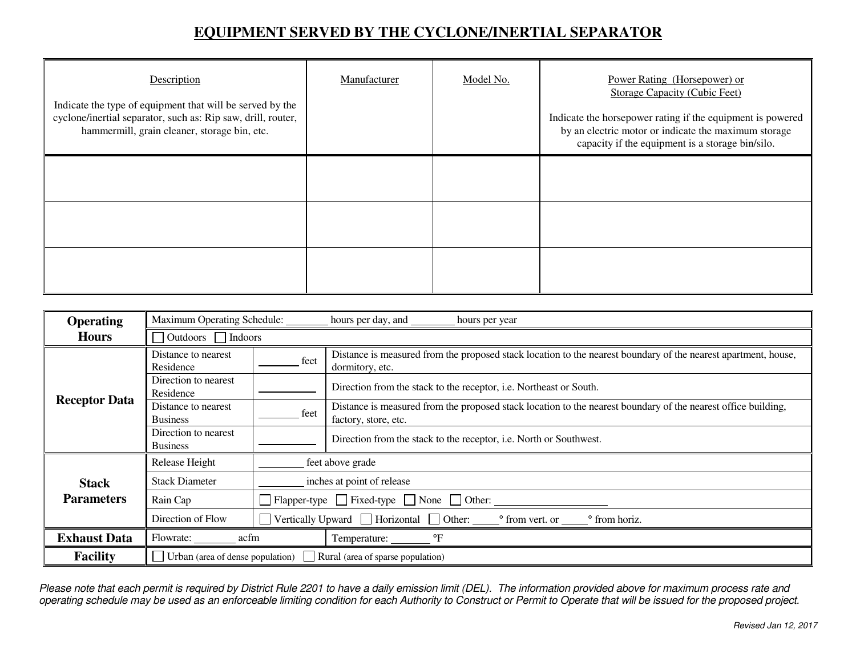# **EQUIPMENT SERVED BY THE CYCLONE/INERTIAL SEPARATOR**

| Description<br>Indicate the type of equipment that will be served by the<br>cyclone/inertial separator, such as: Rip saw, drill, router,<br>hammermill, grain cleaner, storage bin, etc. | Manufacturer | Model No. | Power Rating (Horsepower) or<br><b>Storage Capacity (Cubic Feet)</b><br>Indicate the horsepower rating if the equipment is powered<br>by an electric motor or indicate the maximum storage<br>capacity if the equipment is a storage bin/silo. |
|------------------------------------------------------------------------------------------------------------------------------------------------------------------------------------------|--------------|-----------|------------------------------------------------------------------------------------------------------------------------------------------------------------------------------------------------------------------------------------------------|
|                                                                                                                                                                                          |              |           |                                                                                                                                                                                                                                                |
|                                                                                                                                                                                          |              |           |                                                                                                                                                                                                                                                |
|                                                                                                                                                                                          |              |           |                                                                                                                                                                                                                                                |

| <b>Operating</b>     | Maximum Operating Schedule:             |                                                               | hours per day, and<br>hours per year                                                                                                  |  |
|----------------------|-----------------------------------------|---------------------------------------------------------------|---------------------------------------------------------------------------------------------------------------------------------------|--|
| <b>Hours</b>         | $\Box$ Outdoors $\Box$ Indoors          |                                                               |                                                                                                                                       |  |
|                      | Distance to nearest<br>Residence        | feet                                                          | Distance is measured from the proposed stack location to the nearest boundary of the nearest apartment, house,<br>dormitory, etc.     |  |
|                      | Direction to nearest<br>Residence       |                                                               | Direction from the stack to the receptor, i.e. Northeast or South.                                                                    |  |
| <b>Receptor Data</b> | Distance to nearest<br><b>Business</b>  | feet                                                          | Distance is measured from the proposed stack location to the nearest boundary of the nearest office building,<br>factory, store, etc. |  |
|                      | Direction to nearest<br><b>Business</b> |                                                               | Direction from the stack to the receptor, i.e. North or Southwest.                                                                    |  |
|                      | Release Height                          |                                                               | feet above grade                                                                                                                      |  |
| <b>Stack</b>         | <b>Stack Diameter</b>                   |                                                               | inches at point of release                                                                                                            |  |
| <b>Parameters</b>    | Rain Cap                                | $\Box$ Fixed-type $\Box$ Fixed-type $\Box$ None $\Box$ Other: |                                                                                                                                       |  |
|                      | Direction of Flow                       |                                                               | Vertically Upward $\Box$ Horizontal $\Box$ Other:<br>° from vert. or<br>° from horiz.                                                 |  |
| <b>Exhaust Data</b>  | Flowrate:<br>acfm                       |                                                               | $\mathrm{P}$<br>Temperature: ________                                                                                                 |  |
| <b>Facility</b>      | Urban (area of dense population)        |                                                               | Rural (area of sparse population)                                                                                                     |  |

Please note that each permit is required by District Rule 2201 to have a daily emission limit (DEL). The information provided above for maximum process rate and<br>operating schedule may be used as an enforceable limiting con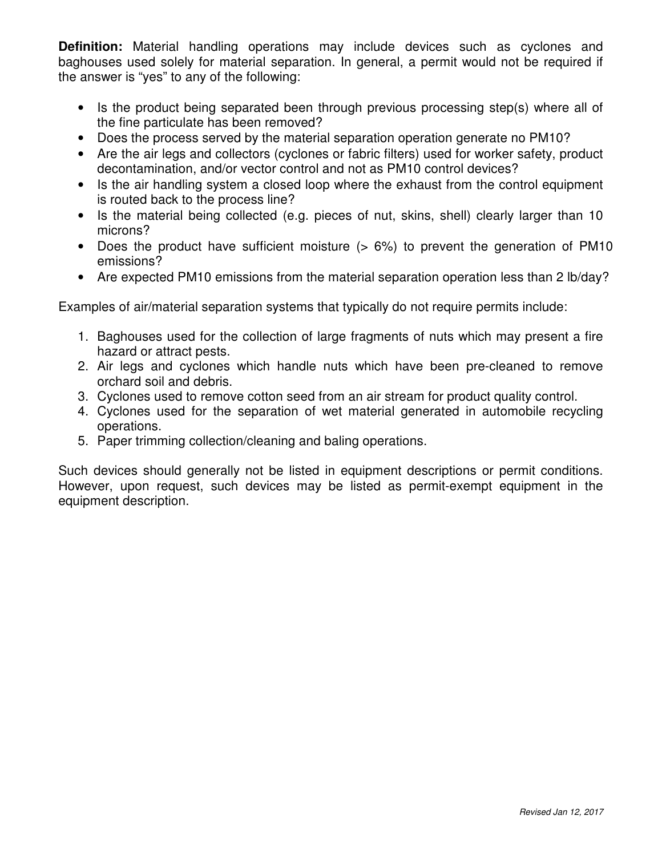**Definition:** Material handling operations may include devices such as cyclones and baghouses used solely for material separation. In general, a permit would not be required if the answer is "yes" to any of the following:

- Is the product being separated been through previous processing step(s) where all of the fine particulate has been removed?
- Does the process served by the material separation operation generate no PM10?
- Are the air legs and collectors (cyclones or fabric filters) used for worker safety, product decontamination, and/or vector control and not as PM10 control devices?
- Is the air handling system a closed loop where the exhaust from the control equipment is routed back to the process line?
- Is the material being collected (e.g. pieces of nut, skins, shell) clearly larger than 10 microns?
- Does the product have sufficient moisture (> 6%) to prevent the generation of PM10 emissions?
- Are expected PM10 emissions from the material separation operation less than 2 lb/day?

Examples of air/material separation systems that typically do not require permits include:

- 1. Baghouses used for the collection of large fragments of nuts which may present a fire hazard or attract pests.
- 2. Air legs and cyclones which handle nuts which have been pre-cleaned to remove orchard soil and debris.
- 3. Cyclones used to remove cotton seed from an air stream for product quality control.
- 4. Cyclones used for the separation of wet material generated in automobile recycling operations.
- 5. Paper trimming collection/cleaning and baling operations.

Such devices should generally not be listed in equipment descriptions or permit conditions. However, upon request, such devices may be listed as permit-exempt equipment in the equipment description.